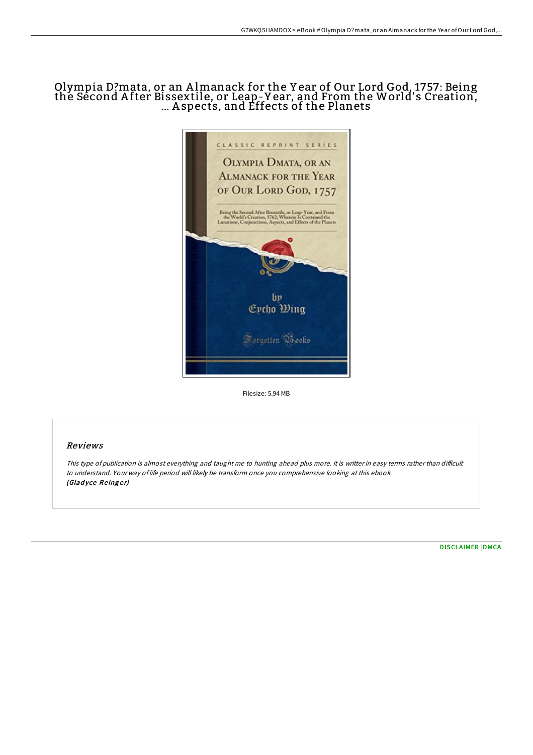# Olympia D?mata, or an A lmanack for the Y ear of Our Lord God, 1757: Being the Second After Bissextile, or Leap-Year, and From the World's Creation, ... A spects, and Effects of the Planets



Filesize: 5.94 MB

## Reviews

This type of publication is almost everything and taught me to hunting ahead plus more. It is writter in easy terms rather than difficult to understand. Your way of life period will likely be transform once you comprehensive looking at this ebook. (Gladyce Reinger)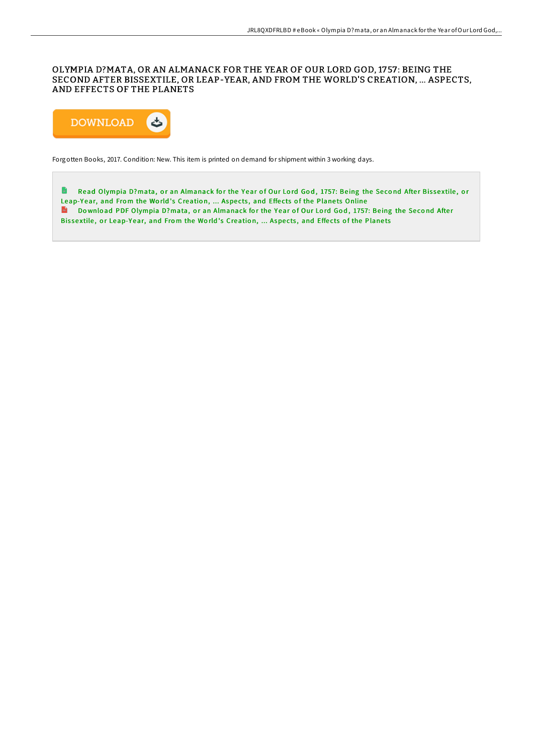## OLYMPIA D?MATA, OR AN ALMANACK FOR THE YEAR OF OUR LORD GOD, 1757 : BEING THE SECOND AFTER BISSEXTILE, OR LEAP-YEAR, AND FROM THE WORLD'S CREATION, ... ASPECTS, AND EFFECTS OF THE PLANETS



Forgotten Books, 2017. Condition: New. This item is printed on demand for shipment within 3 working days.